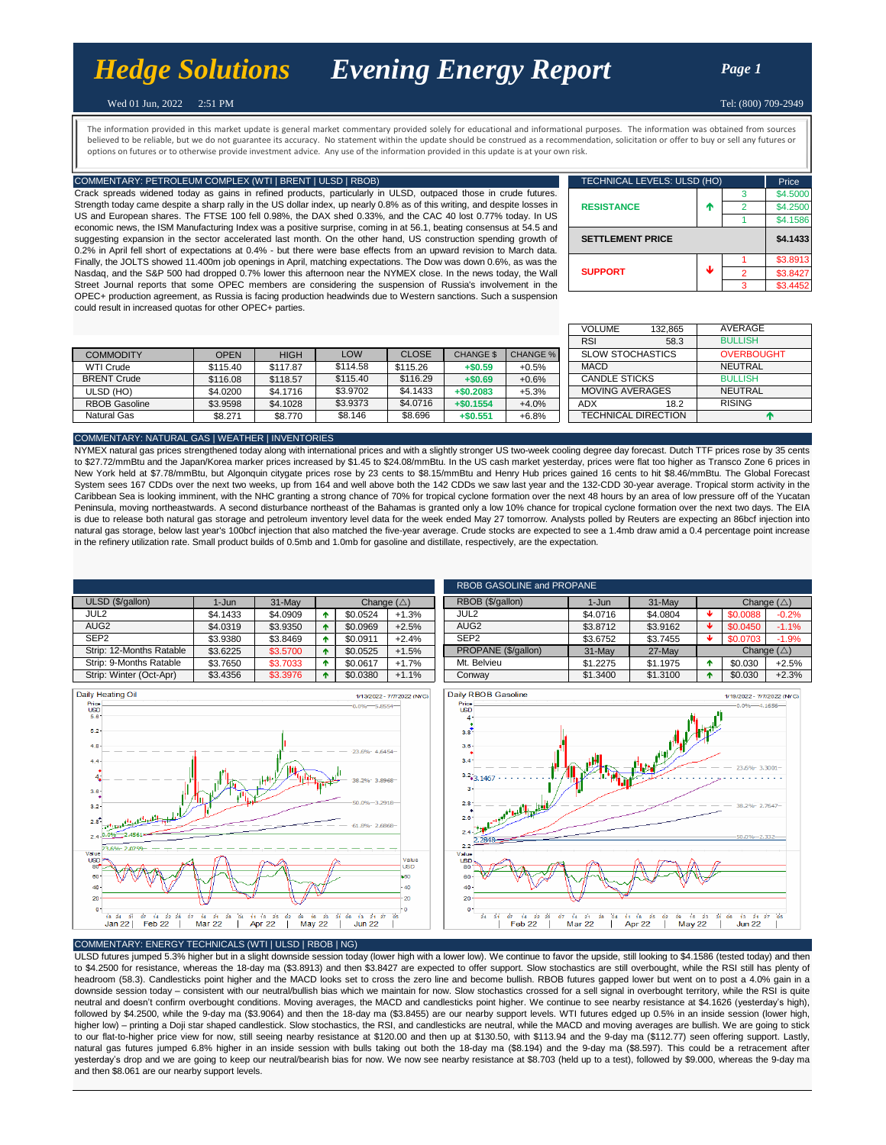# *[Hed](http://www.hedgesolutions.com/)ge Solutions Evening Energy Report Page 1*

Tel: (800) 709-2949

# Wed 01 Jun, 2022 2:51 PM

believed to be reliable, but we do not guarantee its accuracy. No statement within the update should be construed as a recommendation, solicitation or offer to buy or sell any futures or The information provided in this market update is general market commentary provided solely for educational and informational purposes. The information was obtained from sources options on futures or to otherwise provide investment advice. Any use of the information provided in this update is at your own risk.

# COMMENTARY: PETROLEUM COMPLEX (WTI | BRENT | ULSD | RBOB)

Crack spreads widened today as gains in refined products, particularly in ULSD, outpaced those in crude futures. Strength today came despite a sharp rally in the US dollar index, up nearly 0.8% as of this writing, and despite losses in US and European shares. The FTSE 100 fell 0.98%, the DAX shed 0.33%, and the CAC 40 lost 0.77% today. In US economic news, the ISM Manufacturing Index was a positive surprise, coming in at 56.1, beating consensus at 54.5 and suggesting expansion in the sector accelerated last month. On the other hand, US construction spending growth of 0.2% in April fell short of expectations at 0.4% - but there were base effects from an upward revision to March data. Finally, the JOLTS showed 11.400m job openings in April, matching expectations. The Dow was down 0.6%, as was the Nasdaq, and the S&P 500 had dropped 0.7% lower this afternoon near the NYMEX close. In the news today, the Wall Street Journal reports that some OPEC members are considering the suspension of Russia's involvement in the OPEC+ production agreement, as Russia is facing production headwinds due to Western sanctions. Such a suspension could result in increased quotas for other OPEC+ parties.

| TECHNICAL LEVELS: ULSD (HO) | Price    |   |          |
|-----------------------------|----------|---|----------|
|                             |          | 3 | \$4.5000 |
| <b>RESISTANCE</b>           | ተ        |   | \$4.2500 |
|                             |          |   | \$4.1586 |
| <b>SETTLEMENT PRICE</b>     | \$4.1433 |   |          |
|                             |          |   | \$3.8913 |
| <b>SUPPORT</b>              | J        | 2 | \$3.8427 |
|                             |          | ٩ | \$3.4452 |

|                      |             |             |            |              |                  |                 | RSI                    | 58.3                       |
|----------------------|-------------|-------------|------------|--------------|------------------|-----------------|------------------------|----------------------------|
| <b>COMMODITY</b>     | <b>OPEN</b> | <b>HIGH</b> | <b>LOW</b> | <b>CLOSE</b> | <b>CHANGE \$</b> | <b>CHANGE %</b> | SLOW STOCHASTICS       |                            |
| <b>WTI Crude</b>     | \$115.40    | \$117.87    | \$114.58   | \$115.26     | $+ $0.59$        | $+0.5%$         | <b>MACD</b>            |                            |
| <b>BRENT Crude</b>   | \$116.08    | \$118.57    | \$115.40   | \$116.29     | $+ $0.69$        | $+0.6%$         | CANDLE STICKS          |                            |
| ULSD (HO)            | \$4,0200    | \$4,1716    | \$3.9702   | \$4,1433     | $+ $0.2083$      | $+5.3%$         | <b>MOVING AVERAGES</b> |                            |
| <b>RBOB Gasoline</b> | \$3.9598    | \$4,1028    | \$3.9373   | \$4,0716     | $+ $0.1554$      | $+4.0%$         | ADX                    | 18.2                       |
| Natural Gas          | \$8.271     | \$8.770     | \$8.146    | \$8.696      | $+ $0.551$       | $+6.8%$         |                        | <b>TECHNICAL DIRECTION</b> |

|              |                  |                 | <b>VOLUME</b>              | 132.865 | AVERAGE           |  |
|--------------|------------------|-----------------|----------------------------|---------|-------------------|--|
|              |                  |                 | <b>RSI</b>                 | 58.3    | <b>BULLISH</b>    |  |
| <b>CLOSE</b> | <b>CHANGE \$</b> | <b>CHANGE %</b> | <b>SLOW STOCHASTICS</b>    |         | <b>OVERBOUGHT</b> |  |
| 115.26       | $+ $0.59$        | $+0.5%$         | <b>MACD</b>                |         | <b>NEUTRAL</b>    |  |
| \$116.29     | $+ $0.69$        | $+0.6%$         | <b>CANDLE STICKS</b>       |         | <b>BULLISH</b>    |  |
| \$4.1433     | $+ $0.2083$      | $+5.3%$         | <b>MOVING AVERAGES</b>     |         | <b>NEUTRAL</b>    |  |
| \$4.0716     | $+ $0.1554$      | $+4.0%$         | ADX                        | 18.2    | <b>RISING</b>     |  |
| \$8.696      | $+ $0.551$       | $+6.8%$         | <b>TECHNICAL DIRECTION</b> |         | m                 |  |

### COMMENTARY: NATURAL GAS | WEATHER | INVENTORIES

NYMEX natural gas prices strengthened today along with international prices and with a slightly stronger US two-week cooling degree day forecast. Dutch TTF prices rose by 35 cents to \$27.72/mmBtu and the Japan/Korea marker prices increased by \$1.45 to \$24.08/mmBtu. In the US cash market yesterday, prices were flat too higher as Transco Zone 6 prices in New York held at \$7.78/mmBtu, but Algonquin citygate prices rose by 23 cents to \$8.15/mmBtu and Henry Hub prices gained 16 cents to hit \$8.46/mmBtu. The Global Forecast System sees 167 CDDs over the next two weeks, up from 164 and well above both the 142 CDDs we saw last year and the 132-CDD 30-year average. Tropical storm activity in the Caribbean Sea is looking imminent, with the NHC granting a strong chance of 70% for tropical cyclone formation over the next 48 hours by an area of low pressure off of the Yucatan Peninsula, moving northeastwards. A second disturbance northeast of the Bahamas is granted only a low 10% chance for tropical cyclone formation over the next two days. The EIA is due to release both natural gas storage and petroleum inventory level data for the week ended May 27 tomorrow. Analysts polled by Reuters are expecting an 86bcf injection into natural gas storage, below last year's 100bcf injection that also matched the five-year average. Crude stocks are expected to see a 1.4mb draw amid a 0.4 percentage point increase in the refinery utilization rate. Small product builds of 0.5mb and 1.0mb for gasoline and distillate, respectively, are the expectation.

|                          |          |          |   |                      |         | <b>RBOB</b>      |
|--------------------------|----------|----------|---|----------------------|---------|------------------|
| ULSD (\$/gallon)         | 1-Jun    | 31-May   |   | Change $(\triangle)$ |         | <b>RBOB</b>      |
| JUL <sub>2</sub>         | \$4,1433 | \$4.0909 | ٠ | \$0.0524             | $+1.3%$ | JUL <sub>2</sub> |
| AUG <sub>2</sub>         | \$4.0319 | \$3.9350 | ٠ | \$0.0969             | $+2.5%$ | AUG <sub>2</sub> |
| SEP <sub>2</sub>         | \$3.9380 | \$3.8469 | ٠ | \$0.0911             | $+2.4%$ | SEP <sub>2</sub> |
| Strip: 12-Months Ratable | \$3.6225 | \$3,5700 | 个 | \$0.0525             | $+1.5%$ | <b>PROP</b>      |
| Strip: 9-Months Ratable  | \$3.7650 | \$3,7033 | ٠ | \$0.0617             | $+1.7%$ | Mt. Be           |
| Strip: Winter (Oct-Apr)  | \$3,4356 | \$3,3976 | ٠ | \$0.0380             | $+1.1%$ | Conwa            |







## COMMENTARY: ENERGY TECHNICALS (WTI | ULSD | RBOB | NG)

ULSD futures jumped 5.3% higher but in a slight downside session today (lower high with a lower low). We continue to favor the upside, still looking to \$4.1586 (tested today) and then to \$4.2500 for resistance, whereas the 18-day ma (\$3.8913) and then \$3.8427 are expected to offer support. Slow stochastics are still overbought, while the RSI still has plenty of headroom (58.3). Candlesticks point higher and the MACD looks set to cross the zero line and become bullish. RBOB futures gapped lower but went on to post a 4.0% gain in a downside session today – consistent with our neutral/bullish bias which we maintain for now. Slow stochastics crossed for a sell signal in overbought territory, while the RSI is quite neutral and doesn't confirm overbought conditions. Moving averages, the MACD and candlesticks point higher. We continue to see nearby resistance at \$4.1626 (yesterday's high), followed by \$4.2500, while the 9-day ma (\$3.9064) and then the 18-day ma (\$3.8455) are our nearby support levels. WTI futures edged up 0.5% in an inside session (lower high, higher low) – printing a Doji star shaped candlestick. Slow stochastics, the RSI, and candlesticks are neutral, while the MACD and moving averages are bullish. We are going to stick to our flat-to-higher price view for now, still seeing nearby resistance at \$120.00 and then up at \$130.50, with \$113.94 and the 9-day ma (\$112.77) seen offering support. Lastly, natural gas futures jumped 6.8% higher in an inside session with bulls taking out both the 18-day ma (\$8.194) and the 9-day ma (\$8.597). This could be a retracement after yesterday's drop and we are going to keep our neutral/bearish bias for now. We now see nearby resistance at \$8.703 (held up to a test), followed by \$9.000, whereas the 9-day ma and then \$8.061 are our nearby support levels.